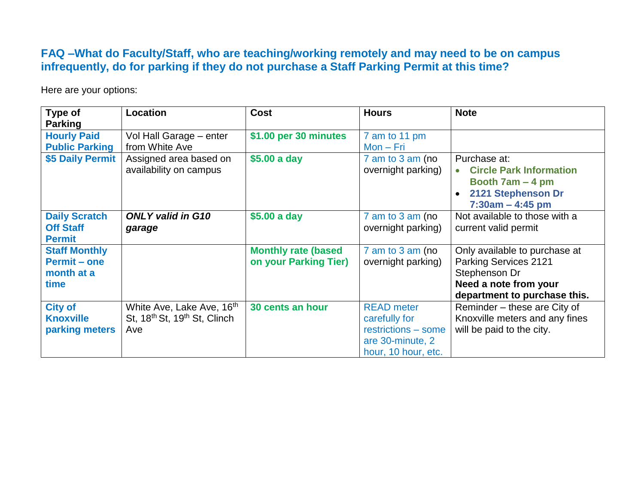## **FAQ –What do Faculty/Staff, who are teaching/working remotely and may need to be on campus infrequently, do for parking if they do not purchase a Staff Parking Permit at this time?**

Here are your options:

| Type of<br><b>Parking</b>                                         | Location                                                                                             | <b>Cost</b>                                          | <b>Hours</b>                                                                                         | <b>Note</b>                                                                                                                             |
|-------------------------------------------------------------------|------------------------------------------------------------------------------------------------------|------------------------------------------------------|------------------------------------------------------------------------------------------------------|-----------------------------------------------------------------------------------------------------------------------------------------|
| <b>Hourly Paid</b><br><b>Public Parking</b>                       | Vol Hall Garage - enter<br>from White Ave                                                            | \$1.00 per 30 minutes                                | 7 am to 11 pm<br>$Mon-Fri$                                                                           |                                                                                                                                         |
| \$5 Daily Permit                                                  | Assigned area based on<br>availability on campus                                                     | \$5.00 a day                                         | $7$ am to $3$ am (no<br>overnight parking)                                                           | Purchase at:<br><b>Circle Park Information</b><br>Booth $7am - 4pm$<br>2121 Stephenson Dr<br>$7:30am - 4:45 pm$                         |
| <b>Daily Scratch</b><br><b>Off Staff</b><br><b>Permit</b>         | <b>ONLY valid in G10</b><br>garage                                                                   | \$5.00 a day                                         | $7$ am to $3$ am (no<br>overnight parking)                                                           | Not available to those with a<br>current valid permit                                                                                   |
| <b>Staff Monthly</b><br><b>Permit - one</b><br>month at a<br>time |                                                                                                      | <b>Monthly rate (based)</b><br>on your Parking Tier) | $7$ am to $3$ am (no<br>overnight parking)                                                           | Only available to purchase at<br><b>Parking Services 2121</b><br>Stephenson Dr<br>Need a note from your<br>department to purchase this. |
| <b>City of</b><br><b>Knoxville</b><br>parking meters              | White Ave, Lake Ave, 16 <sup>th</sup><br>St, 18 <sup>th</sup> St, 19 <sup>th</sup> St, Clinch<br>Ave | 30 cents an hour                                     | <b>READ</b> meter<br>carefully for<br>restrictions - some<br>are 30-minute, 2<br>hour, 10 hour, etc. | Reminder – these are City of<br>Knoxville meters and any fines<br>will be paid to the city.                                             |